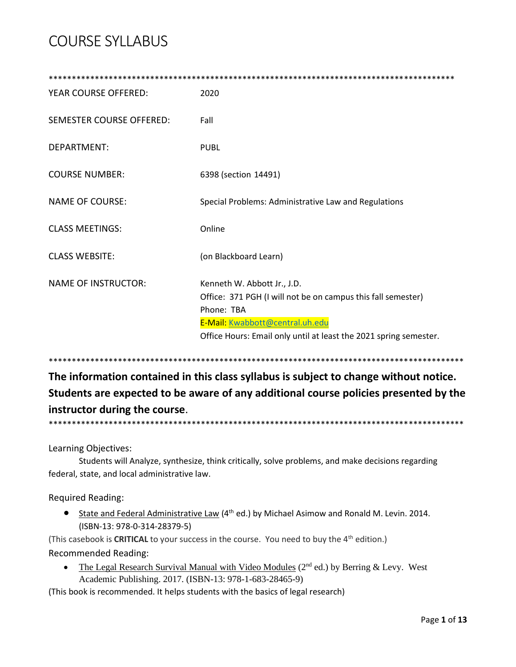| <b>YEAR COURSE OFFERED:</b>     | 2020                                                                                                                                                                                                              |  |  |
|---------------------------------|-------------------------------------------------------------------------------------------------------------------------------------------------------------------------------------------------------------------|--|--|
| <b>SEMESTER COURSE OFFERED:</b> | Fall                                                                                                                                                                                                              |  |  |
| DEPARTMENT:                     | <b>PUBL</b>                                                                                                                                                                                                       |  |  |
| <b>COURSE NUMBER:</b>           | 6398 (section 14491)                                                                                                                                                                                              |  |  |
| <b>NAME OF COURSE:</b>          | Special Problems: Administrative Law and Regulations                                                                                                                                                              |  |  |
| <b>CLASS MEETINGS:</b>          | Online                                                                                                                                                                                                            |  |  |
| <b>CLASS WEBSITE:</b>           | (on Blackboard Learn)                                                                                                                                                                                             |  |  |
| <b>NAME OF INSTRUCTOR:</b>      | Kenneth W. Abbott Jr., J.D.<br>Office: 371 PGH (I will not be on campus this fall semester)<br>Phone: TBA<br>E-Mail: Kwabbott@central.uh.edu<br>Office Hours: Email only until at least the 2021 spring semester. |  |  |

\*\*\*\*\*\*\*\*\*\*\*\*\*\*\*\*\*\*\*\*\*\*\*\*\*\*\*\*\*\*\*\*\*\*\*\*\*\*\*\*\*\*\*\*\*\*\*\*\*\*\*\*\*\*\*\*\*\*\*\*\*\*\*\*\*\*\*\*\*\*\*\*\*\*\*\*\*\*\*\*\*\*\*\*\*\*\*\*\*\*

**The information contained in this class syllabus is subject to change without notice. Students are expected to be aware of any additional course policies presented by the instructor during the course**. \*\*\*\*\*\*\*\*\*\*\*\*\*\*\*\*\*\*\*\*\*\*\*\*\*\*\*\*\*\*\*\*\*\*\*\*\*\*\*\*\*\*\*\*\*\*\*\*\*\*\*\*\*\*\*\*\*\*\*\*\*\*\*\*\*\*\*\*\*\*\*\*\*\*\*\*\*\*\*\*\*\*\*\*\*\*\*\*\*\*

Learning Objectives:

Students will Analyze, synthesize, think critically, solve problems, and make decisions regarding federal, state, and local administrative law.

Required Reading:

• State and Federal Administrative Law (4<sup>th</sup> ed.) by Michael Asimow and Ronald M. Levin. 2014. (ISBN-13: 978-0-314-28379-5)

(This casebook is **CRITICAL** to your success in the course. You need to buy the 4<sup>th</sup> edition.) Recommended Reading:

• The Legal Research Survival Manual with Video Modules ( $2<sup>nd</sup>$  ed.) by Berring & Levy. West Academic Publishing. 2017. (ISBN-13: 978-1-683-28465-9)

(This book is recommended. It helps students with the basics of legal research)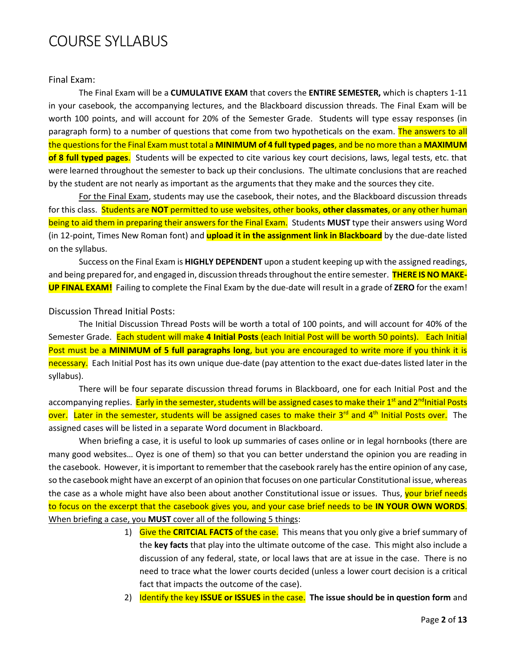#### Final Exam:

The Final Exam will be a **CUMULATIVE EXAM** that covers the **ENTIRE SEMESTER,** which is chapters 1-11 in your casebook, the accompanying lectures, and the Blackboard discussion threads. The Final Exam will be worth 100 points, and will account for 20% of the Semester Grade. Students will type essay responses (in paragraph form) to a number of questions that come from two hypotheticals on the exam. The answers to all the questions for the Final Exam must total a **MINIMUM of 4 full typed pages**, and be no more than a **MAXIMUM of 8 full typed pages**. Students will be expected to cite various key court decisions, laws, legal tests, etc. that were learned throughout the semester to back up their conclusions. The ultimate conclusions that are reached by the student are not nearly as important as the arguments that they make and the sources they cite.

For the Final Exam, students may use the casebook, their notes, and the Blackboard discussion threads for this class. Students are **NOT** permitted to use websites, other books, **other classmates**, or any other human being to aid them in preparing their answers for the Final Exam. Students **MUST** type their answers using Word (in 12-point, Times New Roman font) and **upload it in the assignment link in Blackboard** by the due-date listed on the syllabus.

Success on the Final Exam is **HIGHLY DEPENDENT** upon a student keeping up with the assigned readings, and being prepared for, and engaged in, discussion threads throughout the entire semester. **THERE IS NO MAKE-UP FINAL EXAM!** Failing to complete the Final Exam by the due-date will result in a grade of **ZERO** for the exam!

#### Discussion Thread Initial Posts:

The Initial Discussion Thread Posts will be worth a total of 100 points, and will account for 40% of the Semester Grade. Each student will make **4 Initial Posts** (each Initial Post will be worth 50 points). Each Initial Post must be a **MINIMUM of 5 full paragraphs long**, but you are encouraged to write more if you think it is necessary. Each Initial Post has its own unique due-date (pay attention to the exact due-dates listed later in the syllabus).

There will be four separate discussion thread forums in Blackboard, one for each Initial Post and the accompanying replies. Early in the semester, students will be assigned cases to make their 1<sup>st</sup> and 2<sup>nd</sup>Initial Posts over. Later in the semester, students will be assigned cases to make their 3<sup>rd</sup> and 4<sup>th</sup> Initial Posts over. The assigned cases will be listed in a separate Word document in Blackboard.

When briefing a case, it is useful to look up summaries of cases online or in legal hornbooks (there are many good websites… Oyez is one of them) so that you can better understand the opinion you are reading in the casebook. However, it is important to remember that the casebook rarely has the entire opinion of any case, so the casebook might have an excerpt of an opinion that focuses on one particular Constitutional issue, whereas the case as a whole might have also been about another Constitutional issue or issues. Thus, your brief needs to focus on the excerpt that the casebook gives you, and your case brief needs to be **IN YOUR OWN WORDS**. When briefing a case, you **MUST** cover all of the following 5 things:

- 1) Give the **CRITCIAL FACTS** of the case. This means that you only give a brief summary of the **key facts** that play into the ultimate outcome of the case. This might also include a discussion of any federal, state, or local laws that are at issue in the case. There is no need to trace what the lower courts decided (unless a lower court decision is a critical fact that impacts the outcome of the case).
- 2) Identify the key **ISSUE or ISSUES** in the case. **The issue should be in question form** and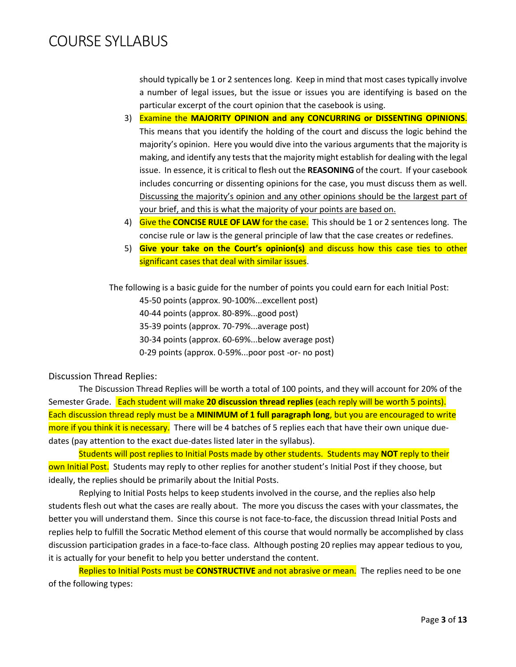should typically be 1 or 2 sentences long. Keep in mind that most cases typically involve a number of legal issues, but the issue or issues you are identifying is based on the particular excerpt of the court opinion that the casebook is using.

- 3) Examine the **MAJORITY OPINION and any CONCURRING or DISSENTING OPINIONS**. This means that you identify the holding of the court and discuss the logic behind the majority's opinion. Here you would dive into the various arguments that the majority is making, and identify any tests that the majority might establish for dealing with the legal issue. In essence, it is critical to flesh out the **REASONING** of the court. If your casebook includes concurring or dissenting opinions for the case, you must discuss them as well. Discussing the majority's opinion and any other opinions should be the largest part of your brief, and this is what the majority of your points are based on.
- 4) Give the **CONCISE RULE OF LAW** for the case. This should be 1 or 2 sentences long. The concise rule or law is the general principle of law that the case creates or redefines.
- 5) **Give your take on the Court's opinion(s)** and discuss how this case ties to other significant cases that deal with similar issues.

The following is a basic guide for the number of points you could earn for each Initial Post:

45-50 points (approx. 90-100%...excellent post) 40-44 points (approx. 80-89%...good post) 35-39 points (approx. 70-79%...average post) 30-34 points (approx. 60-69%...below average post) 0-29 points (approx. 0-59%...poor post -or- no post)

Discussion Thread Replies:

The Discussion Thread Replies will be worth a total of 100 points, and they will account for 20% of the Semester Grade. Each student will make **20 discussion thread replies** (each reply will be worth 5 points). Each discussion thread reply must be a **MINIMUM of 1 full paragraph long**, but you are encouraged to write more if you think it is necessary. There will be 4 batches of 5 replies each that have their own unique duedates (pay attention to the exact due-dates listed later in the syllabus).

Students will post replies to Initial Posts made by other students. Students may **NOT** reply to their own Initial Post. Students may reply to other replies for another student's Initial Post if they choose, but ideally, the replies should be primarily about the Initial Posts.

Replying to Initial Posts helps to keep students involved in the course, and the replies also help students flesh out what the cases are really about. The more you discuss the cases with your classmates, the better you will understand them. Since this course is not face-to-face, the discussion thread Initial Posts and replies help to fulfill the Socratic Method element of this course that would normally be accomplished by class discussion participation grades in a face-to-face class. Although posting 20 replies may appear tedious to you, it is actually for your benefit to help you better understand the content.

Replies to Initial Posts must be **CONSTRUCTIVE** and not abrasive or mean. The replies need to be one of the following types: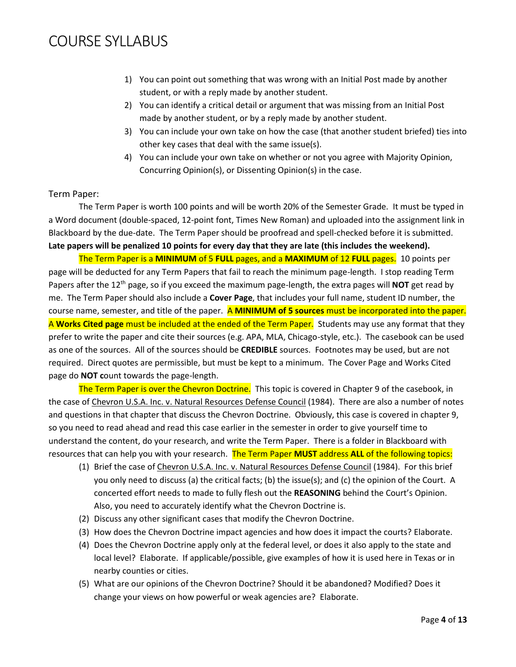- 1) You can point out something that was wrong with an Initial Post made by another student, or with a reply made by another student.
- 2) You can identify a critical detail or argument that was missing from an Initial Post made by another student, or by a reply made by another student.
- 3) You can include your own take on how the case (that another student briefed) ties into other key cases that deal with the same issue(s).
- 4) You can include your own take on whether or not you agree with Majority Opinion, Concurring Opinion(s), or Dissenting Opinion(s) in the case.

#### Term Paper:

The Term Paper is worth 100 points and will be worth 20% of the Semester Grade. It must be typed in a Word document (double-spaced, 12-point font, Times New Roman) and uploaded into the assignment link in Blackboard by the due-date. The Term Paper should be proofread and spell-checked before it is submitted. **Late papers will be penalized 10 points for every day that they are late (this includes the weekend).**

The Term Paper is a **MINIMUM** of 5 **FULL** pages, and a **MAXIMUM** of 12 **FULL** pages. 10 points per page will be deducted for any Term Papers that fail to reach the minimum page-length. I stop reading Term Papers after the 12th page, so if you exceed the maximum page-length, the extra pages will **NOT** get read by me. The Term Paper should also include a **Cover Page**, that includes your full name, student ID number, the course name, semester, and title of the paper. A **MINIMUM of 5 sources** must be incorporated into the paper. A **Works Cited page** must be included at the ended of the Term Paper. Students may use any format that they prefer to write the paper and cite their sources (e.g. APA, MLA, Chicago-style, etc.). The casebook can be used as one of the sources. All of the sources should be **CREDIBLE** sources. Footnotes may be used, but are not required. Direct quotes are permissible, but must be kept to a minimum. The Cover Page and Works Cited page do **NOT c**ount towards the page-length.

The Term Paper is over the Chevron Doctrine. This topic is covered in Chapter 9 of the casebook, in the case of Chevron U.S.A. Inc. v. Natural Resources Defense Council (1984). There are also a number of notes and questions in that chapter that discuss the Chevron Doctrine. Obviously, this case is covered in chapter 9, so you need to read ahead and read this case earlier in the semester in order to give yourself time to understand the content, do your research, and write the Term Paper. There is a folder in Blackboard with resources that can help you with your research. The Term Paper **MUST** address **ALL** of the following topics:

- (1) Brief the case of Chevron U.S.A. Inc. v. Natural Resources Defense Council (1984). For this brief you only need to discuss (a) the critical facts; (b) the issue(s); and (c) the opinion of the Court. A concerted effort needs to made to fully flesh out the **REASONING** behind the Court's Opinion. Also, you need to accurately identify what the Chevron Doctrine is.
- (2) Discuss any other significant cases that modify the Chevron Doctrine.
- (3) How does the Chevron Doctrine impact agencies and how does it impact the courts? Elaborate.
- (4) Does the Chevron Doctrine apply only at the federal level, or does it also apply to the state and local level? Elaborate. If applicable/possible, give examples of how it is used here in Texas or in nearby counties or cities.
- (5) What are our opinions of the Chevron Doctrine? Should it be abandoned? Modified? Does it change your views on how powerful or weak agencies are? Elaborate.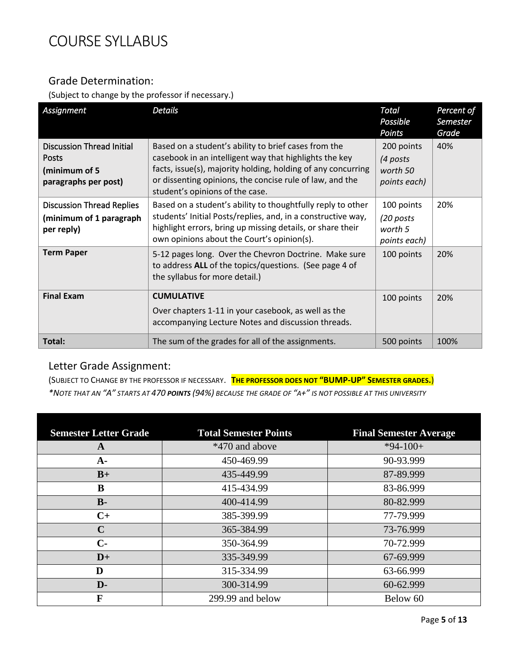#### Grade Determination:

(Subject to change by the professor if necessary.)

| Assignment                                                                         | <b>Details</b>                                                                                                                                                                                                                                                                | Total<br>Possible<br>Points                        | Percent of<br>Semester<br>Grade |
|------------------------------------------------------------------------------------|-------------------------------------------------------------------------------------------------------------------------------------------------------------------------------------------------------------------------------------------------------------------------------|----------------------------------------------------|---------------------------------|
| <b>Discussion Thread Initial</b><br>Posts<br>(minimum of 5<br>paragraphs per post) | Based on a student's ability to brief cases from the<br>casebook in an intelligent way that highlights the key<br>facts, issue(s), majority holding, holding of any concurring<br>or dissenting opinions, the concise rule of law, and the<br>student's opinions of the case. | 200 points<br>(4 posts<br>worth 50<br>points each) | 40%                             |
| <b>Discussion Thread Replies</b><br>(minimum of 1 paragraph<br>per reply)          | Based on a student's ability to thoughtfully reply to other<br>students' Initial Posts/replies, and, in a constructive way,<br>highlight errors, bring up missing details, or share their<br>own opinions about the Court's opinion(s).                                       | 100 points<br>(20 posts<br>worth 5<br>points each) | 20%                             |
| <b>Term Paper</b>                                                                  | 5-12 pages long. Over the Chevron Doctrine. Make sure<br>to address ALL of the topics/questions. (See page 4 of<br>the syllabus for more detail.)                                                                                                                             | 100 points                                         | 20%                             |
| <b>Final Exam</b>                                                                  | <b>CUMULATIVE</b><br>Over chapters 1-11 in your casebook, as well as the<br>accompanying Lecture Notes and discussion threads.                                                                                                                                                | 100 points                                         | 20%                             |
| Total:                                                                             | The sum of the grades for all of the assignments.                                                                                                                                                                                                                             | 500 points                                         | 100%                            |

#### Letter Grade Assignment:

(SUBJECT TO CHANGE BY THE PROFESSOR IF NECESSARY. **THE PROFESSOR DOES NOT "BUMP-UP" SEMESTER GRADES.**) *\*NOTE THAT AN "A" STARTS AT 470 POINTS (94%) BECAUSE THE GRADE OF "A+" IS NOT POSSIBLE AT THIS UNIVERSITY*

| <b>Semester Letter Grade</b> | <b>Total Semester Points</b> | <b>Final Semester Average</b> |
|------------------------------|------------------------------|-------------------------------|
| A                            | *470 and above               | $*94-100+$                    |
| $A -$                        | 450-469.99                   | 90-93.999                     |
| $B+$                         | 435-449.99                   | 87-89.999                     |
| B                            | 415-434.99                   | 83-86.999                     |
| $B -$                        | 400-414.99                   | 80-82.999                     |
| $C+$                         | 385-399.99                   | 77-79.999                     |
| $\mathbf C$                  | 365-384.99                   | 73-76.999                     |
| $C-$                         | 350-364.99                   | 70-72.999                     |
| $D+$                         | 335-349.99                   | 67-69.999                     |
| D                            | 315-334.99                   | 63-66.999                     |
| D-                           | 300-314.99                   | 60-62.999                     |
| F                            | 299.99 and below             | Below 60                      |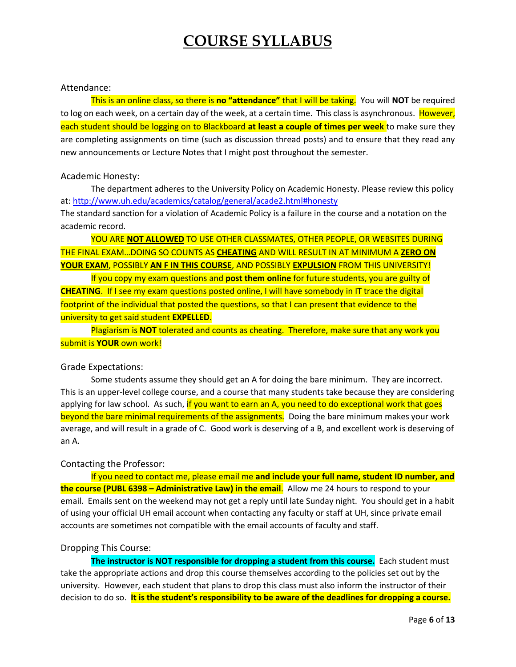#### Attendance:

This is an online class, so there is **no "attendance"** that I will be taking. You will **NOT** be required to log on each week, on a certain day of the week, at a certain time. This class is asynchronous. However, each student should be logging on to Blackboard **at least a couple of times per week** to make sure they are completing assignments on time (such as discussion thread posts) and to ensure that they read any new announcements or Lecture Notes that I might post throughout the semester.

#### Academic Honesty:

The department adheres to the University Policy on Academic Honesty. Please review this policy at:<http://www.uh.edu/academics/catalog/general/acade2.html#honesty>

The standard sanction for a violation of Academic Policy is a failure in the course and a notation on the academic record.

YOU ARE **NOT ALLOWED** TO USE OTHER CLASSMATES, OTHER PEOPLE, OR WEBSITES DURING THE FINAL EXAM…DOING SO COUNTS AS **CHEATING** AND WILL RESULT IN AT MINIMUM A **ZERO ON YOUR EXAM**, POSSIBLY **AN F IN THIS COURSE**, AND POSSIBLY **EXPULSION** FROM THIS UNIVERSITY!

If you copy my exam questions and **post them online** for future students, you are guilty of **CHEATING**. If I see my exam questions posted online, I will have somebody in IT trace the digital footprint of the individual that posted the questions, so that I can present that evidence to the university to get said student **EXPELLED**.

Plagiarism is **NOT** tolerated and counts as cheating. Therefore, make sure that any work you submit is **YOUR** own work!

#### Grade Expectations:

Some students assume they should get an A for doing the bare minimum. They are incorrect. This is an upper-level college course, and a course that many students take because they are considering applying for law school. As such, if you want to earn an A, you need to do exceptional work that goes beyond the bare minimal requirements of the assignments. Doing the bare minimum makes your work average, and will result in a grade of C. Good work is deserving of a B, and excellent work is deserving of an A.

#### Contacting the Professor:

If you need to contact me, please email me **and include your full name, student ID number, and the course (PUBL 6398 – Administrative Law) in the email**. Allow me 24 hours to respond to your email. Emails sent on the weekend may not get a reply until late Sunday night. You should get in a habit of using your official UH email account when contacting any faculty or staff at UH, since private email accounts are sometimes not compatible with the email accounts of faculty and staff.

#### Dropping This Course:

**The instructor is NOT responsible for dropping a student from this course.** Each student must take the appropriate actions and drop this course themselves according to the policies set out by the university. However, each student that plans to drop this class must also inform the instructor of their decision to do so. **It is the student's responsibility to be aware of the deadlines for dropping a course.**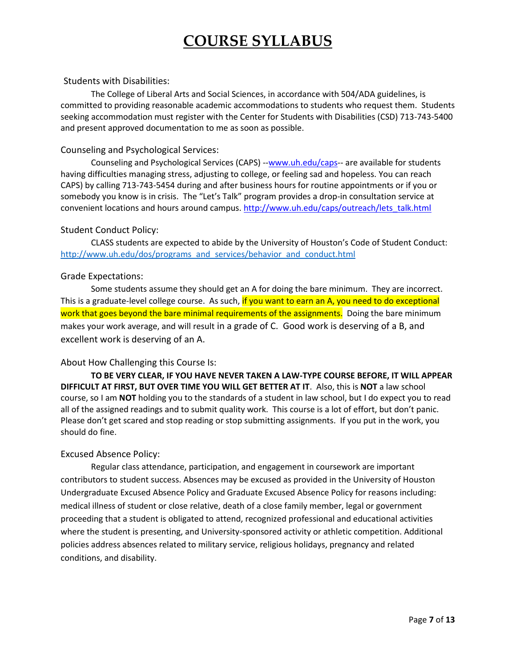#### Students with Disabilities:

The College of Liberal Arts and Social Sciences, in accordance with 504/ADA guidelines, is committed to providing reasonable academic accommodations to students who request them. Students seeking accommodation must register with the Center for Students with Disabilities (CSD) 713-743-5400 and present approved documentation to me as soon as possible.

#### Counseling and Psychological Services:

Counseling and Psychological Services (CAPS) -[-www.uh.edu/caps-](http://www.uh.edu/caps)- are available for students having difficulties managing stress, adjusting to college, or feeling sad and hopeless. You can reach CAPS) by calling 713-743-5454 during and after business hours for routine appointments or if you or somebody you know is in crisis. The "Let's Talk" program provides a drop-in consultation service at convenient locations and hours around campus. [http://www.uh.edu/caps/outreach/lets\\_talk.html](http://www.uh.edu/caps/outreach/lets_talk.html)

#### Student Conduct Policy:

CLASS students are expected to abide by the University of Houston's Code of Student Conduct: [http://www.uh.edu/dos/programs\\_and\\_services/behavior\\_and\\_conduct.html](http://www.uh.edu/dos/programs_and_services/behavior_and_conduct.html)

#### Grade Expectations:

Some students assume they should get an A for doing the bare minimum. They are incorrect. This is a graduate-level college course. As such, if you want to earn an A, you need to do exceptional work that goes beyond the bare minimal requirements of the assignments. Doing the bare minimum makes your work average, and will result in a grade of C. Good work is deserving of a B, and excellent work is deserving of an A.

#### About How Challenging this Course Is:

**TO BE VERY CLEAR, IF YOU HAVE NEVER TAKEN A LAW-TYPE COURSE BEFORE, IT WILL APPEAR DIFFICULT AT FIRST, BUT OVER TIME YOU WILL GET BETTER AT IT**. Also, this is **NOT** a law school course, so I am **NOT** holding you to the standards of a student in law school, but I do expect you to read all of the assigned readings and to submit quality work. This course is a lot of effort, but don't panic. Please don't get scared and stop reading or stop submitting assignments. If you put in the work, you should do fine.

#### Excused Absence Policy:

Regular class attendance, participation, and engagement in coursework are important contributors to student success. Absences may be excused as provided in the University of Houston Undergraduate Excused Absence Policy and Graduate Excused Absence Policy for reasons including: medical illness of student or close relative, death of a close family member, legal or government proceeding that a student is obligated to attend, recognized professional and educational activities where the student is presenting, and University-sponsored activity or athletic competition. Additional policies address absences related to military service, religious holidays, pregnancy and related conditions, and disability.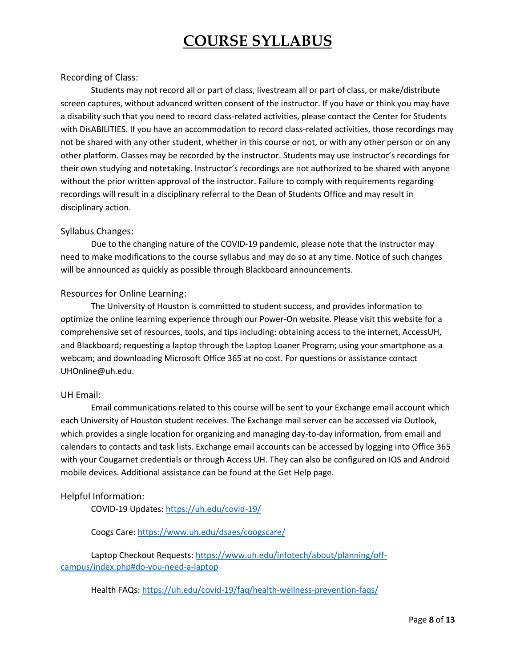#### Recording of Class:

Students may not record all or part of class, livestream all or part of class, or make/distribute screen captures, without advanced written consent of the instructor. If you have or think you may have a disability such that you need to record class-related activities, please contact the Center for Students with DisABILITIES. If you have an accommodation to record class-related activities, those recordings may not be shared with any other student, whether in this course or not, or with any other person or on any other platform. Classes may be recorded by the instructor. Students may use instructor's recordings for their own studying and notetaking. Instructor's recordings are not authorized to be shared with anyone without the prior written approval of the instructor. Failure to comply with requirements regarding recordings will result in a disciplinary referral to the Dean of Students Office and may result in disciplinary action.

#### Syllabus Changes:

Due to the changing nature of the COVID-19 pandemic, please note that the instructor may need to make modifications to the course syllabus and may do so at any time. Notice of such changes will be announced as quickly as possible through Blackboard announcements.

#### Resources for Online Learning:

The University of Houston is committed to student success, and provides information to optimize the online learning experience through our Power-On website. Please visit this website for a comprehensive set of resources, tools, and tips including: obtaining access to the internet, AccessUH, and Blackboard; requesting a laptop through the Laptop Loaner Program; using your smartphone as a webcam; and downloading Microsoft Office 365 at no cost. For questions or assistance contact UHOnline@uh.edu.

#### UH Email:

Email communications related to this course will be sent to your Exchange email account which each University of Houston student receives. The Exchange mail server can be accessed via Outlook, which provides a single location for organizing and managing day-to-day information, from email and calendars to contacts and task lists. Exchange email accounts can be accessed by logging into Office 365 with your Cougarnet credentials or through Access UH. They can also be configured on IOS and Android mobile devices. Additional assistance can be found at the Get Help page.

#### Helpful Information:

COVID-19 Updates[: https://uh.edu/covid-19/](https://uh.edu/covid-19/)

Coogs Care:<https://www.uh.edu/dsaes/coogscare/>

Laptop Checkout Requests: [https://www.uh.edu/infotech/about/planning/off](https://www.uh.edu/infotech/about/planning/off-campus/index.php#do-you-need-a-laptop)[campus/index.php#do-you-need-a-laptop](https://www.uh.edu/infotech/about/planning/off-campus/index.php#do-you-need-a-laptop)

Health FAQs[: https://uh.edu/covid-19/faq/health-wellness-prevention-faqs/](https://uh.edu/covid-19/faq/health-wellness-prevention-faqs/)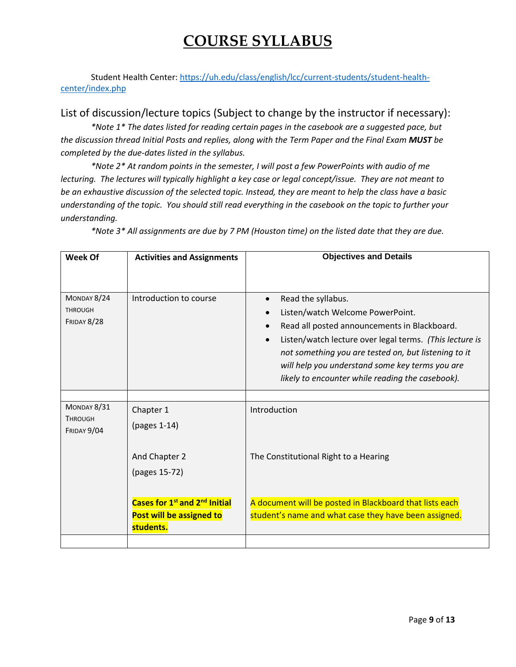Student Health Center: [https://uh.edu/class/english/lcc/current-students/student-health](https://uh.edu/class/english/lcc/current-students/student-health-center/index.php)[center/index.php](https://uh.edu/class/english/lcc/current-students/student-health-center/index.php)

#### List of discussion/lecture topics (Subject to change by the instructor if necessary):

*\*Note 1\* The dates listed for reading certain pages in the casebook are a suggested pace, but the discussion thread Initial Posts and replies, along with the Term Paper and the Final Exam MUST be completed by the due-dates listed in the syllabus.*

*\*Note 2\* At random points in the semester, I will post a few PowerPoints with audio of me lecturing. The lectures will typically highlight a key case or legal concept/issue. They are not meant to be an exhaustive discussion of the selected topic. Instead, they are meant to help the class have a basic understanding of the topic. You should still read everything in the casebook on the topic to further your understanding.*

*\*Note 3\* All assignments are due by 7 PM (Houston time) on the listed date that they are due.*

| <b>Week Of</b>                               | <b>Activities and Assignments</b>                     | <b>Objectives and Details</b>                                                                                                                                                                                                                                                                                                                 |
|----------------------------------------------|-------------------------------------------------------|-----------------------------------------------------------------------------------------------------------------------------------------------------------------------------------------------------------------------------------------------------------------------------------------------------------------------------------------------|
|                                              |                                                       |                                                                                                                                                                                                                                                                                                                                               |
| MONDAY 8/24<br><b>THROUGH</b><br>FRIDAY 8/28 | Introduction to course                                | Read the syllabus.<br>$\bullet$<br>Listen/watch Welcome PowerPoint.<br>Read all posted announcements in Blackboard.<br>Listen/watch lecture over legal terms. (This lecture is<br>not something you are tested on, but listening to it<br>will help you understand some key terms you are<br>likely to encounter while reading the casebook). |
|                                              |                                                       |                                                                                                                                                                                                                                                                                                                                               |
| MONDAY 8/31<br><b>THROUGH</b><br>FRIDAY 9/04 | Chapter 1<br>(pages 1-14)                             | Introduction                                                                                                                                                                                                                                                                                                                                  |
|                                              | And Chapter 2<br>(pages 15-72)                        | The Constitutional Right to a Hearing                                                                                                                                                                                                                                                                                                         |
|                                              | Cases for 1 <sup>st</sup> and 2 <sup>nd</sup> Initial | A document will be posted in Blackboard that lists each                                                                                                                                                                                                                                                                                       |
|                                              | Post will be assigned to<br>students.                 | student's name and what case they have been assigned.                                                                                                                                                                                                                                                                                         |
|                                              |                                                       |                                                                                                                                                                                                                                                                                                                                               |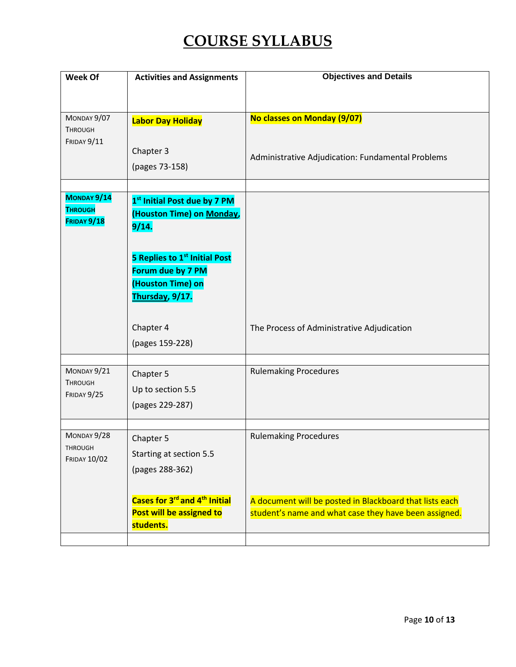| <b>Week Of</b>                                      | <b>Activities and Assignments</b>                                  | <b>Objectives and Details</b>                           |
|-----------------------------------------------------|--------------------------------------------------------------------|---------------------------------------------------------|
|                                                     |                                                                    |                                                         |
| MONDAY 9/07<br><b>THROUGH</b><br><b>FRIDAY 9/11</b> | <b>Labor Day Holiday</b>                                           | No classes on Monday (9/07)                             |
|                                                     | Chapter 3<br>(pages 73-158)                                        | Administrative Adjudication: Fundamental Problems       |
|                                                     |                                                                    |                                                         |
| MONDAY 9/14<br><b>THROUGH</b><br><b>FRIDAY 9/18</b> | 1st Initial Post due by 7 PM<br>(Houston Time) on Monday,<br>9/14. |                                                         |
|                                                     | 5 Replies to 1 <sup>st</sup> Initial Post<br>Forum due by 7 PM     |                                                         |
|                                                     | (Houston Time) on                                                  |                                                         |
|                                                     | Thursday, 9/17.                                                    |                                                         |
|                                                     | Chapter 4                                                          | The Process of Administrative Adjudication              |
|                                                     | (pages 159-228)                                                    |                                                         |
|                                                     |                                                                    |                                                         |
| MONDAY 9/21<br><b>THROUGH</b>                       | Chapter 5                                                          | <b>Rulemaking Procedures</b>                            |
| FRIDAY 9/25                                         | Up to section 5.5                                                  |                                                         |
|                                                     | (pages 229-287)                                                    |                                                         |
| MONDAY 9/28                                         |                                                                    |                                                         |
| THROUGH                                             | Chapter 5                                                          | <b>Rulemaking Procedures</b>                            |
| <b>FRIDAY 10/02</b>                                 | Starting at section 5.5                                            |                                                         |
|                                                     | (pages 288-362)                                                    |                                                         |
|                                                     | Cases for 3 <sup>rd</sup> and 4 <sup>th</sup> Initial              | A document will be posted in Blackboard that lists each |
|                                                     | Post will be assigned to<br>students.                              | student's name and what case they have been assigned.   |
|                                                     |                                                                    |                                                         |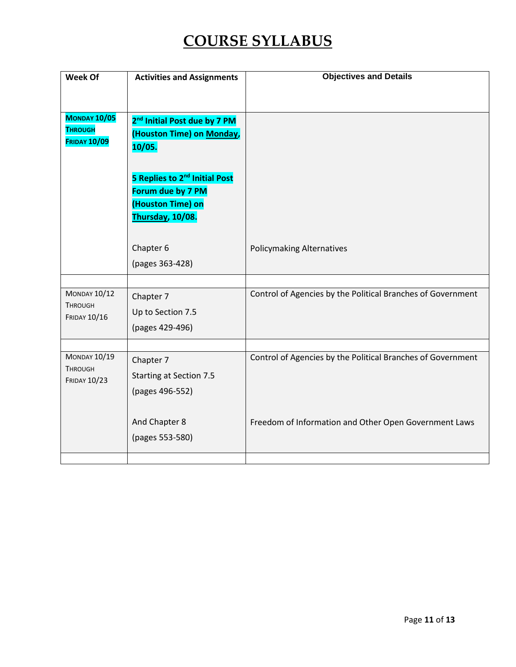| Week Of                                                      | <b>Activities and Assignments</b>                                                                       | <b>Objectives and Details</b>                               |
|--------------------------------------------------------------|---------------------------------------------------------------------------------------------------------|-------------------------------------------------------------|
| <b>MONDAY 10/05</b><br><b>THROUGH</b><br><b>FRIDAY 10/09</b> | 2 <sup>nd</sup> Initial Post due by 7 PM<br>(Houston Time) on Monday,<br>10/05.                         |                                                             |
|                                                              | 5 Replies to 2 <sup>nd</sup> Initial Post<br>Forum due by 7 PM<br>(Houston Time) on<br>Thursday, 10/08. |                                                             |
|                                                              | Chapter 6<br>(pages 363-428)                                                                            | <b>Policymaking Alternatives</b>                            |
| <b>MONDAY 10/12</b>                                          |                                                                                                         |                                                             |
| <b>THROUGH</b><br><b>FRIDAY 10/16</b>                        | Chapter 7<br>Up to Section 7.5<br>(pages 429-496)                                                       | Control of Agencies by the Political Branches of Government |
|                                                              |                                                                                                         |                                                             |
| <b>MONDAY 10/19</b><br><b>THROUGH</b><br><b>FRIDAY 10/23</b> | Chapter 7<br><b>Starting at Section 7.5</b><br>(pages 496-552)                                          | Control of Agencies by the Political Branches of Government |
|                                                              | And Chapter 8<br>(pages 553-580)                                                                        | Freedom of Information and Other Open Government Laws       |
|                                                              |                                                                                                         |                                                             |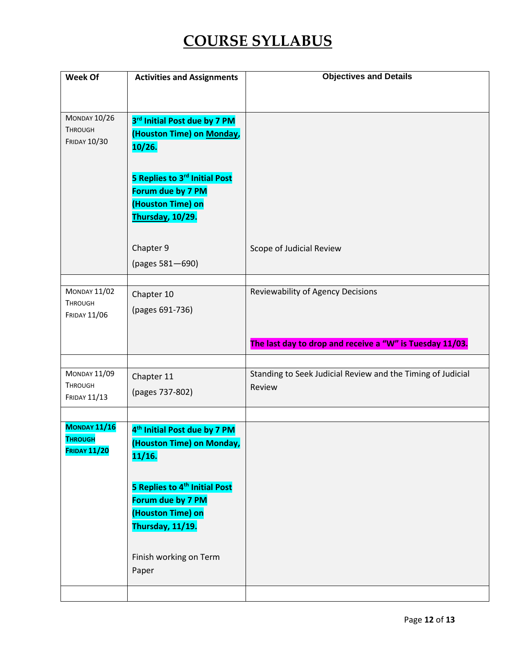| Week Of                               | <b>Activities and Assignments</b>         | <b>Objectives and Details</b>                               |
|---------------------------------------|-------------------------------------------|-------------------------------------------------------------|
|                                       |                                           |                                                             |
|                                       |                                           |                                                             |
| <b>MONDAY 10/26</b>                   | 3rd Initial Post due by 7 PM              |                                                             |
| <b>THROUGH</b><br><b>FRIDAY 10/30</b> | (Houston Time) on Monday,                 |                                                             |
|                                       | 10/26.                                    |                                                             |
|                                       |                                           |                                                             |
|                                       | 5 Replies to 3rd Initial Post             |                                                             |
|                                       | Forum due by 7 PM                         |                                                             |
|                                       | (Houston Time) on                         |                                                             |
|                                       | Thursday, 10/29.                          |                                                             |
|                                       |                                           |                                                             |
|                                       | Chapter 9                                 | Scope of Judicial Review                                    |
|                                       | (pages 581-690)                           |                                                             |
| <b>MONDAY 11/02</b>                   |                                           | Reviewability of Agency Decisions                           |
| <b>THROUGH</b>                        | Chapter 10                                |                                                             |
| <b>FRIDAY 11/06</b>                   | (pages 691-736)                           |                                                             |
|                                       |                                           |                                                             |
|                                       |                                           | The last day to drop and receive a "W" is Tuesday 11/03.    |
|                                       |                                           |                                                             |
| <b>MONDAY 11/09</b>                   | Chapter 11                                | Standing to Seek Judicial Review and the Timing of Judicial |
| <b>THROUGH</b><br><b>FRIDAY 11/13</b> | (pages 737-802)                           | Review                                                      |
|                                       |                                           |                                                             |
| <b>MONDAY 11/16</b>                   | 4 <sup>th</sup> Initial Post due by 7 PM  |                                                             |
| <b>THROUGH</b>                        | (Houston Time) on Monday,                 |                                                             |
| <b>FRIDAY 11/20</b>                   | 11/16.                                    |                                                             |
|                                       |                                           |                                                             |
|                                       | 5 Replies to 4 <sup>th</sup> Initial Post |                                                             |
|                                       | Forum due by 7 PM                         |                                                             |
|                                       | (Houston Time) on                         |                                                             |
|                                       | Thursday, 11/19.                          |                                                             |
|                                       |                                           |                                                             |
|                                       | Finish working on Term                    |                                                             |
|                                       | Paper                                     |                                                             |
|                                       |                                           |                                                             |